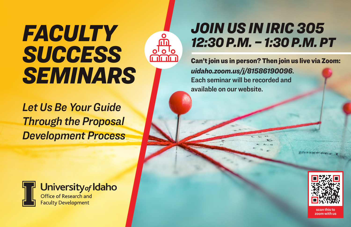## *FACULTY SUCCESS SEMINARS*

*Let Us Be Your Guide Through the Proposal Development Process* 



Can't join us in person? Then join us live via Zoom: *uidaho.zoom.us/j/81586190096*. Each seminar will be recorded and available on our website.



University of Idaho Office of Research and

**Faculty Development** 



scan this to zoom with us